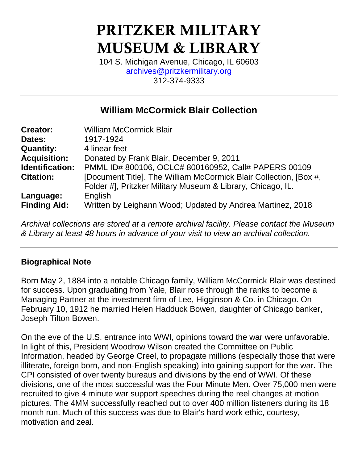# **PRITZKER MILITARY MUSEUM & LIBRARY**

104 S. Michigan Avenue, Chicago, IL 60603 [archives@pritzkermilitary.org](mailto:archives@pritzkermilitary.org) 312-374-9333

# **William McCormick Blair Collection**

| <b>Creator:</b>     | <b>William McCormick Blair</b>                                    |
|---------------------|-------------------------------------------------------------------|
| Dates:              | 1917-1924                                                         |
| <b>Quantity:</b>    | 4 linear feet                                                     |
| <b>Acquisition:</b> | Donated by Frank Blair, December 9, 2011                          |
| Identification:     | PMML ID# 800106, OCLC# 800160952, Call# PAPERS 00109              |
| <b>Citation:</b>    | [Document Title]. The William McCormick Blair Collection, [Box #, |
|                     | Folder #], Pritzker Military Museum & Library, Chicago, IL.       |
| Language:           | English                                                           |
| <b>Finding Aid:</b> | Written by Leighann Wood; Updated by Andrea Martinez, 2018        |

*Archival collections are stored at a remote archival facility. Please contact the Museum & Library at least 48 hours in advance of your visit to view an archival collection.*

#### **Biographical Note**

Born May 2, 1884 into a notable Chicago family, William McCormick Blair was destined for success. Upon graduating from Yale, Blair rose through the ranks to become a Managing Partner at the investment firm of Lee, Higginson & Co. in Chicago. On February 10, 1912 he married Helen Hadduck Bowen, daughter of Chicago banker, Joseph Tilton Bowen.

On the eve of the U.S. entrance into WWI, opinions toward the war were unfavorable. In light of this, President Woodrow Wilson created the Committee on Public Information, headed by George Creel, to propagate millions (especially those that were illiterate, foreign born, and non-English speaking) into gaining support for the war. The CPI consisted of over twenty bureaus and divisions by the end of WWI. Of these divisions, one of the most successful was the Four Minute Men. Over 75,000 men were recruited to give 4 minute war support speeches during the reel changes at motion pictures. The 4MM successfully reached out to over 400 million listeners during its 18 month run. Much of this success was due to Blair's hard work ethic, courtesy, motivation and zeal.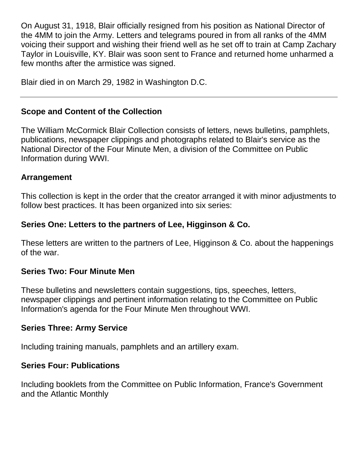On August 31, 1918, Blair officially resigned from his position as National Director of the 4MM to join the Army. Letters and telegrams poured in from all ranks of the 4MM voicing their support and wishing their friend well as he set off to train at Camp Zachary Taylor in Louisville, KY. Blair was soon sent to France and returned home unharmed a few months after the armistice was signed.

Blair died in on March 29, 1982 in Washington D.C.

## **Scope and Content of the Collection**

The William McCormick Blair Collection consists of letters, news bulletins, pamphlets, publications, newspaper clippings and photographs related to Blair's service as the National Director of the Four Minute Men, a division of the Committee on Public Information during WWI.

#### **Arrangement**

This collection is kept in the order that the creator arranged it with minor adjustments to follow best practices. It has been organized into six series:

## **Series One: Letters to the partners of Lee, Higginson & Co.**

These letters are written to the partners of Lee, Higginson & Co. about the happenings of the war.

#### **Series Two: Four Minute Men**

These bulletins and newsletters contain suggestions, tips, speeches, letters, newspaper clippings and pertinent information relating to the Committee on Public Information's agenda for the Four Minute Men throughout WWI.

## **Series Three: Army Service**

Including training manuals, pamphlets and an artillery exam.

## **Series Four: Publications**

Including booklets from the Committee on Public Information, France's Government and the Atlantic Monthly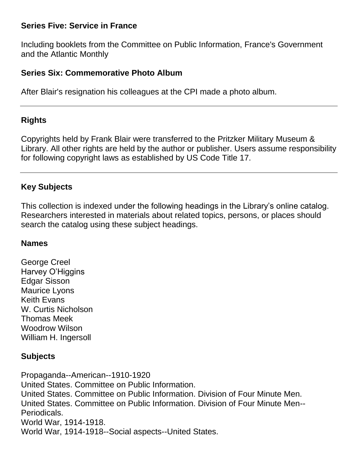#### **Series Five: Service in France**

Including booklets from the Committee on Public Information, France's Government and the Atlantic Monthly

#### **Series Six: Commemorative Photo Album**

After Blair's resignation his colleagues at the CPI made a photo album.

#### **Rights**

Copyrights held by Frank Blair were transferred to the Pritzker Military Museum & Library. All other rights are held by the author or publisher. Users assume responsibility for following copyright laws as established by US Code Title 17.

#### **Key Subjects**

This collection is indexed under the following headings in the Library's online catalog. Researchers interested in materials about related topics, persons, or places should search the catalog using these subject headings.

#### **Names**

George Creel Harvey O'Higgins Edgar Sisson Maurice Lyons Keith Evans W. Curtis Nicholson Thomas Meek Woodrow Wilson William H. Ingersoll

#### **Subjects**

Propaganda--American--1910-1920 United States. Committee on Public Information. [United States. Committee on Public Information. Division of Four Minute Men.](http://catalog.loc.gov/cgi-bin/Pwebrecon.cgi?SA=United%20States%2E%20Committee%20on%20Public%20Information%2E&SC=SUBJ&CNT=25&PID=E918WHaZXMR6lNCYMg3r8t5HBDJMX&BROWSE=3&HC=3&SID=1) [United States. Committee on Public Information. Division of Four Minute Men--](http://catalog.loc.gov/cgi-bin/Pwebrecon.cgi?SA=United%20States%2E%20Committee%20on%20Public%20Information%2E&SC=SUBJ&CNT=25&PID=E918WHaZXMR6lNCYMg3r8t5HBDJMX&BROWSE=4&HC=3&SID=1) [Periodicals.](http://catalog.loc.gov/cgi-bin/Pwebrecon.cgi?SA=United%20States%2E%20Committee%20on%20Public%20Information%2E&SC=SUBJ&CNT=25&PID=E918WHaZXMR6lNCYMg3r8t5HBDJMX&BROWSE=4&HC=3&SID=1) World War, 1914-1918. World War, 1914-1918--Social aspects--United States.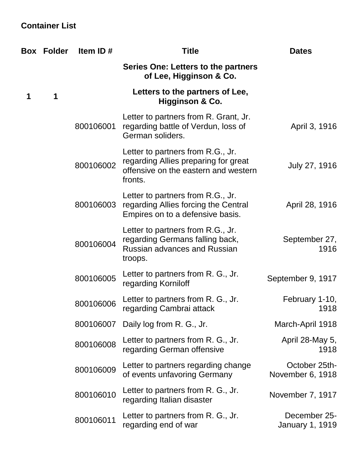# **Container List**

|   | <b>Box Folder</b> | Item ID#  | <b>Title</b>                                                                                                                 | <b>Dates</b>                      |
|---|-------------------|-----------|------------------------------------------------------------------------------------------------------------------------------|-----------------------------------|
|   |                   |           | Series One: Letters to the partners<br>of Lee, Higginson & Co.                                                               |                                   |
| 1 | 1                 |           | Letters to the partners of Lee,<br><b>Higginson &amp; Co.</b>                                                                |                                   |
|   |                   | 800106001 | Letter to partners from R. Grant, Jr.<br>regarding battle of Verdun, loss of<br>German soliders.                             | April 3, 1916                     |
|   |                   | 800106002 | Letter to partners from R.G., Jr.<br>regarding Allies preparing for great<br>offensive on the eastern and western<br>fronts. | July 27, 1916                     |
|   |                   | 800106003 | Letter to partners from R.G., Jr.<br>regarding Allies forcing the Central<br>Empires on to a defensive basis.                | April 28, 1916                    |
|   |                   | 800106004 | Letter to partners from R.G., Jr.<br>regarding Germans falling back,<br><b>Russian advances and Russian</b><br>troops.       | September 27,<br>1916             |
|   |                   | 800106005 | Letter to partners from R. G., Jr.<br>regarding Korniloff                                                                    | September 9, 1917                 |
|   |                   | 800106006 | Letter to partners from R. G., Jr.<br>regarding Cambrai attack                                                               | February 1-10,<br>1918            |
|   |                   | 800106007 | Daily log from R. G., Jr.                                                                                                    | March-April 1918                  |
|   |                   | 800106008 | Letter to partners from R. G., Jr.<br>regarding German offensive                                                             | April 28-May 5,<br>1918           |
|   |                   | 800106009 | Letter to partners regarding change<br>of events unfavoring Germany                                                          | October 25th-<br>November 6, 1918 |
|   |                   | 800106010 | Letter to partners from R. G., Jr.<br>regarding Italian disaster                                                             | November 7, 1917                  |
|   |                   | 800106011 | Letter to partners from R. G., Jr.<br>regarding end of war                                                                   | December 25-<br>January 1, 1919   |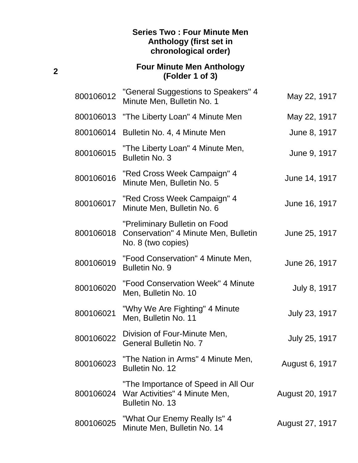#### **Series Two : Four Minute Men Anthology (first set in chronological order)**

## **Four Minute Men Anthology (Folder 1 of 3)**

| 800106012 | "General Suggestions to Speakers" 4<br>Minute Men, Bulletin No. 1                           | May 22, 1917    |
|-----------|---------------------------------------------------------------------------------------------|-----------------|
| 800106013 | "The Liberty Loan" 4 Minute Men                                                             | May 22, 1917    |
| 800106014 | Bulletin No. 4, 4 Minute Men                                                                | June 8, 1917    |
| 800106015 | "The Liberty Loan" 4 Minute Men,<br><b>Bulletin No. 3</b>                                   | June 9, 1917    |
| 800106016 | "Red Cross Week Campaign" 4<br>Minute Men, Bulletin No. 5                                   | June 14, 1917   |
| 800106017 | "Red Cross Week Campaign" 4<br>Minute Men, Bulletin No. 6                                   | June 16, 1917   |
| 800106018 | "Preliminary Bulletin on Food<br>Conservation" 4 Minute Men, Bulletin<br>No. 8 (two copies) | June 25, 1917   |
| 800106019 | "Food Conservation" 4 Minute Men,<br><b>Bulletin No. 9</b>                                  | June 26, 1917   |
| 800106020 | "Food Conservation Week" 4 Minute<br>Men, Bulletin No. 10                                   | July 8, 1917    |
| 800106021 | "Why We Are Fighting" 4 Minute<br>Men, Bulletin No. 11                                      | July 23, 1917   |
| 800106022 | Division of Four-Minute Men,<br><b>General Bulletin No. 7</b>                               | July 25, 1917   |
| 800106023 | "The Nation in Arms" 4 Minute Men,<br>Bulletin No. 12                                       | August 6, 1917  |
| 800106024 | "The Importance of Speed in All Our<br>War Activities" 4 Minute Men,<br>Bulletin No. 13     | August 20, 1917 |
| 800106025 | "What Our Enemy Really Is" 4<br>Minute Men, Bulletin No. 14                                 | August 27, 1917 |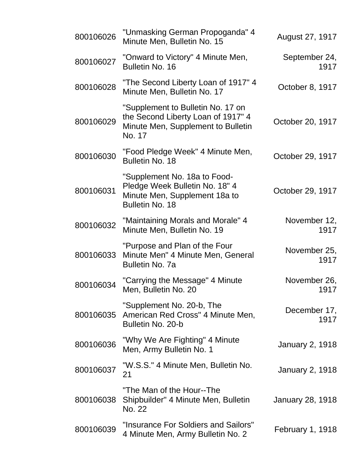| 800106026 | "Unmasking German Propoganda" 4<br>Minute Men, Bulletin No. 15                                                            | August 27, 1917         |
|-----------|---------------------------------------------------------------------------------------------------------------------------|-------------------------|
| 800106027 | "Onward to Victory" 4 Minute Men,<br>Bulletin No. 16                                                                      | September 24,<br>1917   |
| 800106028 | "The Second Liberty Loan of 1917" 4<br>Minute Men, Bulletin No. 17                                                        | October 8, 1917         |
| 800106029 | "Supplement to Bulletin No. 17 on<br>the Second Liberty Loan of 1917" 4<br>Minute Men, Supplement to Bulletin<br>No. 17   | October 20, 1917        |
| 800106030 | "Food Pledge Week" 4 Minute Men,<br><b>Bulletin No. 18</b>                                                                | October 29, 1917        |
| 800106031 | "Supplement No. 18a to Food-<br>Pledge Week Bulletin No. 18" 4<br>Minute Men, Supplement 18a to<br><b>Bulletin No. 18</b> | October 29, 1917        |
| 800106032 | "Maintaining Morals and Morale" 4<br>Minute Men, Bulletin No. 19                                                          | November 12,<br>1917    |
| 800106033 | "Purpose and Plan of the Four<br>Minute Men" 4 Minute Men, General<br><b>Bulletin No. 7a</b>                              | November 25,<br>1917    |
| 800106034 | "Carrying the Message" 4 Minute<br>Men, Bulletin No. 20                                                                   | November 26,<br>1917    |
| 800106035 | "Supplement No. 20-b, The<br>American Red Cross" 4 Minute Men,<br>Bulletin No. 20-b                                       | December 17,<br>1917    |
| 800106036 | "Why We Are Fighting" 4 Minute<br>Men, Army Bulletin No. 1                                                                | <b>January 2, 1918</b>  |
| 800106037 | "W.S.S." 4 Minute Men, Bulletin No.<br>21                                                                                 | <b>January 2, 1918</b>  |
| 800106038 | "The Man of the Hour--The<br>Shipbuilder" 4 Minute Men, Bulletin<br>No. 22                                                | January 28, 1918        |
| 800106039 | "Insurance For Soldiers and Sailors"<br>4 Minute Men, Army Bulletin No. 2                                                 | <b>February 1, 1918</b> |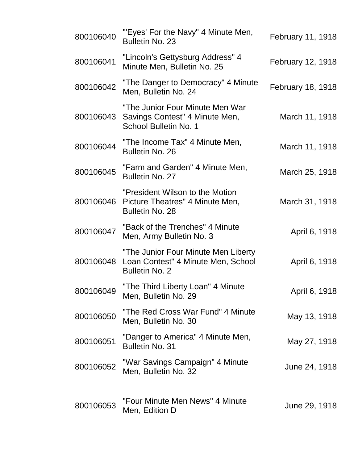| 800106040 | "'Eyes' For the Navy" 4 Minute Men,<br>Bulletin No. 23                                             | February 11, 1918 |
|-----------|----------------------------------------------------------------------------------------------------|-------------------|
| 800106041 | "Lincoln's Gettysburg Address" 4<br>Minute Men, Bulletin No. 25                                    | February 12, 1918 |
| 800106042 | "The Danger to Democracy" 4 Minute<br>Men, Bulletin No. 24                                         | February 18, 1918 |
| 800106043 | "The Junior Four Minute Men War<br>Savings Contest" 4 Minute Men,<br>School Bulletin No. 1         | March 11, 1918    |
| 800106044 | "The Income Tax" 4 Minute Men,<br><b>Bulletin No. 26</b>                                           | March 11, 1918    |
| 800106045 | "Farm and Garden" 4 Minute Men,<br>Bulletin No. 27                                                 | March 25, 1918    |
| 800106046 | "President Wilson to the Motion<br>Picture Theatres" 4 Minute Men,<br><b>Bulletin No. 28</b>       | March 31, 1918    |
| 800106047 | "Back of the Trenches" 4 Minute<br>Men, Army Bulletin No. 3                                        | April 6, 1918     |
| 800106048 | "The Junior Four Minute Men Liberty<br>Loan Contest" 4 Minute Men, School<br><b>Bulletin No. 2</b> | April 6, 1918     |
| 800106049 | "The Third Liberty Loan" 4 Minute<br>Men, Bulletin No. 29                                          | April 6, 1918     |
| 800106050 | "The Red Cross War Fund" 4 Minute<br>Men, Bulletin No. 30                                          | May 13, 1918      |
| 800106051 | "Danger to America" 4 Minute Men,<br><b>Bulletin No. 31</b>                                        | May 27, 1918      |
| 800106052 | "War Savings Campaign" 4 Minute<br>Men, Bulletin No. 32                                            | June 24, 1918     |
| 800106053 | "Four Minute Men News" 4 Minute<br>Men, Edition D                                                  | June 29, 1918     |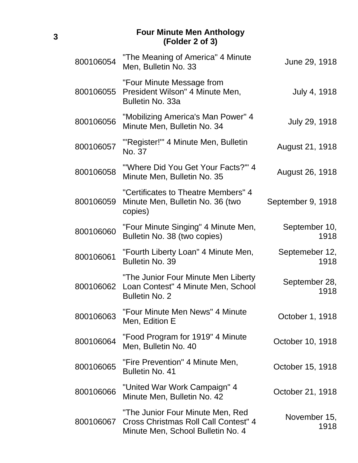#### **Four Minute Men Anthology (Folder 2 of 3)**

| 800106054 | "The Meaning of America" 4 Minute<br>Men, Bulletin No. 33                                                     | June 29, 1918          |
|-----------|---------------------------------------------------------------------------------------------------------------|------------------------|
| 800106055 | "Four Minute Message from<br>President Wilson" 4 Minute Men,<br>Bulletin No. 33a                              | July 4, 1918           |
| 800106056 | "Mobilizing America's Man Power" 4<br>Minute Men, Bulletin No. 34                                             | July 29, 1918          |
| 800106057 | "Register!" 4 Minute Men, Bulletin<br>No. 37                                                                  | August 21, 1918        |
| 800106058 | "'Where Did You Get Your Facts?'" 4<br>Minute Men, Bulletin No. 35                                            | August 26, 1918        |
| 800106059 | "Certificates to Theatre Members" 4<br>Minute Men, Bulletin No. 36 (two<br>copies)                            | September 9, 1918      |
| 800106060 | "Four Minute Singing" 4 Minute Men,<br>Bulletin No. 38 (two copies)                                           | September 10,<br>1918  |
| 800106061 | "Fourth Liberty Loan" 4 Minute Men,<br>Bulletin No. 39                                                        | Septemeber 12,<br>1918 |
| 800106062 | "The Junior Four Minute Men Liberty<br>Loan Contest" 4 Minute Men, School<br><b>Bulletin No. 2</b>            | September 28,<br>1918  |
| 800106063 | "Four Minute Men News" 4 Minute<br>Men, Edition E                                                             | October 1, 1918        |
| 800106064 | "Food Program for 1919" 4 Minute<br>Men, Bulletin No. 40                                                      | October 10, 1918       |
| 800106065 | "Fire Prevention" 4 Minute Men,<br>Bulletin No. 41                                                            | October 15, 1918       |
| 800106066 | "United War Work Campaign" 4<br>Minute Men, Bulletin No. 42                                                   | October 21, 1918       |
| 800106067 | "The Junior Four Minute Men, Red<br>Cross Christmas Roll Call Contest" 4<br>Minute Men, School Bulletin No. 4 | November 15,<br>1918   |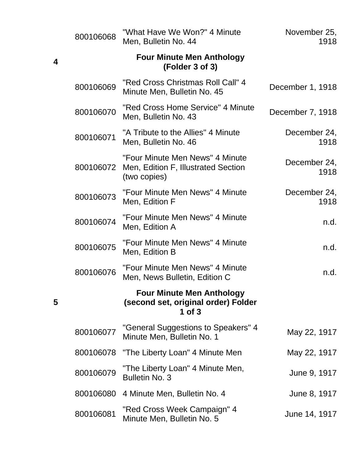|   | 800106068 | "What Have We Won?" 4 Minute<br>Men, Bulletin No. 44                                   | November 25,<br>1918 |
|---|-----------|----------------------------------------------------------------------------------------|----------------------|
| 4 |           | <b>Four Minute Men Anthology</b><br>(Folder 3 of 3)                                    |                      |
|   | 800106069 | "Red Cross Christmas Roll Call" 4<br>Minute Men, Bulletin No. 45                       | December 1, 1918     |
|   | 800106070 | "Red Cross Home Service" 4 Minute<br>Men, Bulletin No. 43                              | December 7, 1918     |
|   | 800106071 | "A Tribute to the Allies" 4 Minute<br>Men, Bulletin No. 46                             | December 24,<br>1918 |
|   | 800106072 | "Four Minute Men News" 4 Minute<br>Men, Edition F, Illustrated Section<br>(two copies) | December 24,<br>1918 |
|   | 800106073 | "Four Minute Men News" 4 Minute<br>Men, Edition F                                      | December 24,<br>1918 |
|   | 800106074 | "Four Minute Men News" 4 Minute<br>Men, Edition A                                      | n.d.                 |
|   | 800106075 | "Four Minute Men News" 4 Minute<br>Men, Edition B                                      | n.d.                 |
|   | 800106076 | "Four Minute Men News" 4 Minute<br>Men, News Bulletin, Edition C                       | n.d.                 |
| 5 |           | <b>Four Minute Men Anthology</b><br>(second set, original order) Folder<br>1 of $3$    |                      |
|   | 800106077 | "General Suggestions to Speakers" 4<br>Minute Men, Bulletin No. 1                      | May 22, 1917         |
|   | 800106078 | "The Liberty Loan" 4 Minute Men                                                        | May 22, 1917         |
|   | 800106079 | "The Liberty Loan" 4 Minute Men,<br><b>Bulletin No. 3</b>                              | June 9, 1917         |
|   | 800106080 | 4 Minute Men, Bulletin No. 4                                                           | June 8, 1917         |
|   | 800106081 | "Red Cross Week Campaign" 4<br>Minute Men, Bulletin No. 5                              | June 14, 1917        |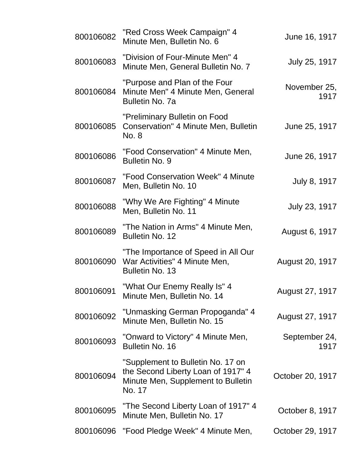| 800106082 | "Red Cross Week Campaign" 4<br>Minute Men, Bulletin No. 6                                                               | June 16, 1917         |
|-----------|-------------------------------------------------------------------------------------------------------------------------|-----------------------|
| 800106083 | "Division of Four-Minute Men" 4<br>Minute Men, General Bulletin No. 7                                                   | July 25, 1917         |
| 800106084 | "Purpose and Plan of the Four<br>Minute Men" 4 Minute Men, General<br><b>Bulletin No. 7a</b>                            | November 25,<br>1917  |
| 800106085 | "Preliminary Bulletin on Food<br>Conservation" 4 Minute Men, Bulletin<br>No. 8                                          | June 25, 1917         |
| 800106086 | "Food Conservation" 4 Minute Men,<br><b>Bulletin No. 9</b>                                                              | June 26, 1917         |
| 800106087 | "Food Conservation Week" 4 Minute<br>Men, Bulletin No. 10                                                               | July 8, 1917          |
| 800106088 | "Why We Are Fighting" 4 Minute<br>Men, Bulletin No. 11                                                                  | July 23, 1917         |
| 800106089 | "The Nation in Arms" 4 Minute Men,<br>Bulletin No. 12                                                                   | August 6, 1917        |
| 800106090 | "The Importance of Speed in All Our<br>War Activities" 4 Minute Men,<br><b>Bulletin No. 13</b>                          | August 20, 1917       |
| 800106091 | "What Our Enemy Really Is" 4<br>Minute Men, Bulletin No. 14                                                             | August 27, 1917       |
| 800106092 | "Unmasking German Propoganda" 4<br>Minute Men, Bulletin No. 15                                                          | August 27, 1917       |
| 800106093 | "Onward to Victory" 4 Minute Men,<br>Bulletin No. 16                                                                    | September 24,<br>1917 |
| 800106094 | "Supplement to Bulletin No. 17 on<br>the Second Liberty Loan of 1917" 4<br>Minute Men, Supplement to Bulletin<br>No. 17 | October 20, 1917      |
| 800106095 | "The Second Liberty Loan of 1917" 4<br>Minute Men, Bulletin No. 17                                                      | October 8, 1917       |
| 800106096 | "Food Pledge Week" 4 Minute Men,                                                                                        | October 29, 1917      |
|           |                                                                                                                         |                       |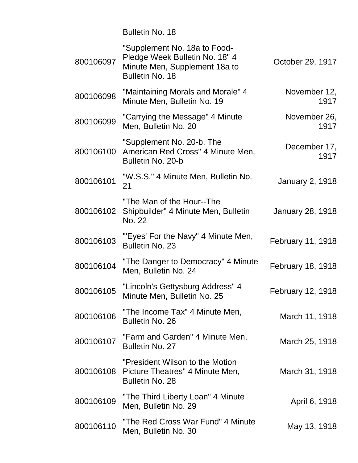Bulletin No. 18

| 800106097 | "Supplement No. 18a to Food-<br>Pledge Week Bulletin No. 18" 4<br>Minute Men, Supplement 18a to<br>Bulletin No. 18 | October 29, 1917         |
|-----------|--------------------------------------------------------------------------------------------------------------------|--------------------------|
| 800106098 | "Maintaining Morals and Morale" 4<br>Minute Men, Bulletin No. 19                                                   | November 12,<br>1917     |
| 800106099 | "Carrying the Message" 4 Minute<br>Men, Bulletin No. 20                                                            | November 26,<br>1917     |
| 800106100 | "Supplement No. 20-b, The<br>American Red Cross" 4 Minute Men,<br>Bulletin No. 20-b                                | December 17,<br>1917     |
| 800106101 | "W.S.S." 4 Minute Men, Bulletin No.<br>21                                                                          | <b>January 2, 1918</b>   |
| 800106102 | "The Man of the Hour--The<br>Shipbuilder" 4 Minute Men, Bulletin<br>No. 22                                         | January 28, 1918         |
| 800106103 | "'Eyes' For the Navy" 4 Minute Men,<br><b>Bulletin No. 23</b>                                                      | February 11, 1918        |
| 800106104 | "The Danger to Democracy" 4 Minute<br>Men, Bulletin No. 24                                                         | <b>February 18, 1918</b> |
| 800106105 | "Lincoln's Gettysburg Address" 4<br>Minute Men, Bulletin No. 25                                                    | February 12, 1918        |
| 800106106 | "The Income Tax" 4 Minute Men,<br>Bulletin No. 26                                                                  | March 11, 1918           |
| 800106107 | "Farm and Garden" 4 Minute Men,<br>Bulletin No. 27                                                                 | March 25, 1918           |
| 800106108 | "President Wilson to the Motion"<br>Picture Theatres" 4 Minute Men,<br><b>Bulletin No. 28</b>                      | March 31, 1918           |
| 800106109 | "The Third Liberty Loan" 4 Minute<br>Men, Bulletin No. 29                                                          | April 6, 1918            |
| 800106110 | "The Red Cross War Fund" 4 Minute<br>Men, Bulletin No. 30                                                          | May 13, 1918             |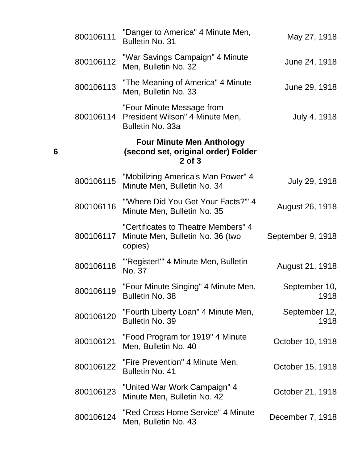| 800106111 | "Danger to America" 4 Minute Men,<br><b>Bulletin No. 31</b>                        | May 27, 1918          |
|-----------|------------------------------------------------------------------------------------|-----------------------|
| 800106112 | "War Savings Campaign" 4 Minute<br>Men, Bulletin No. 32                            | June 24, 1918         |
| 800106113 | "The Meaning of America" 4 Minute<br>Men, Bulletin No. 33                          | June 29, 1918         |
| 800106114 | "Four Minute Message from<br>President Wilson" 4 Minute Men,<br>Bulletin No. 33a   | July 4, 1918          |
|           | <b>Four Minute Men Anthology</b><br>(second set, original order) Folder<br>2 of 3  |                       |
| 800106115 | "Mobilizing America's Man Power" 4<br>Minute Men, Bulletin No. 34                  | July 29, 1918         |
| 800106116 | "Where Did You Get Your Facts?" 4<br>Minute Men, Bulletin No. 35                   | August 26, 1918       |
| 800106117 | "Certificates to Theatre Members" 4<br>Minute Men, Bulletin No. 36 (two<br>copies) | September 9, 1918     |
| 800106118 | "'Register!'" 4 Minute Men, Bulletin<br>No. 37                                     | August 21, 1918       |
| 800106119 | "Four Minute Singing" 4 Minute Men,<br>Bulletin No. 38                             | September 10,<br>1918 |
| 800106120 | "Fourth Liberty Loan" 4 Minute Men,<br><b>Bulletin No. 39</b>                      | September 12,<br>1918 |
| 800106121 | "Food Program for 1919" 4 Minute<br>Men, Bulletin No. 40                           | October 10, 1918      |
| 800106122 | "Fire Prevention" 4 Minute Men,<br><b>Bulletin No. 41</b>                          | October 15, 1918      |
| 800106123 | "United War Work Campaign" 4<br>Minute Men, Bulletin No. 42                        | October 21, 1918      |
| 800106124 | "Red Cross Home Service" 4 Minute<br>Men, Bulletin No. 43                          | December 7, 1918      |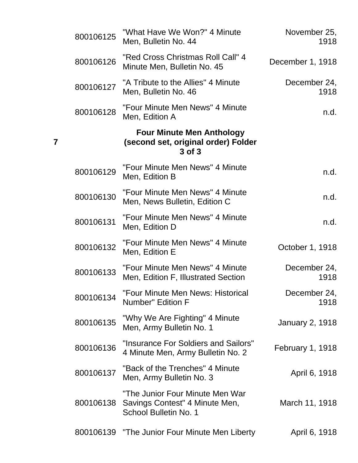| November 25,<br>1918    | "What Have We Won?" 4 Minute<br>Men, Bulletin No. 44                                       | 800106125 |
|-------------------------|--------------------------------------------------------------------------------------------|-----------|
| December 1, 1918        | "Red Cross Christmas Roll Call" 4<br>Minute Men, Bulletin No. 45                           | 800106126 |
| December 24,<br>1918    | "A Tribute to the Allies" 4 Minute<br>Men, Bulletin No. 46                                 | 800106127 |
| n.d.                    | "Four Minute Men News" 4 Minute<br>Men, Edition A                                          | 800106128 |
|                         | <b>Four Minute Men Anthology</b><br>(second set, original order) Folder<br>3 of 3          |           |
| n.d.                    | "Four Minute Men News" 4 Minute<br>Men, Edition B                                          | 800106129 |
| n.d.                    | "Four Minute Men News" 4 Minute<br>Men, News Bulletin, Edition C                           | 800106130 |
| n.d.                    | "Four Minute Men News" 4 Minute<br>Men, Edition D                                          | 800106131 |
| October 1, 1918         | "Four Minute Men News" 4 Minute<br>Men, Edition E                                          | 800106132 |
| December 24,<br>1918    | "Four Minute Men News" 4 Minute<br>Men, Edition F, Illustrated Section                     | 800106133 |
| December 24,<br>1918    | "Four Minute Men News: Historical<br>Number" Edition F                                     | 800106134 |
| <b>January 2, 1918</b>  | "Why We Are Fighting" 4 Minute<br>Men, Army Bulletin No. 1                                 | 800106135 |
| <b>February 1, 1918</b> | "Insurance For Soldiers and Sailors"<br>4 Minute Men, Army Bulletin No. 2                  | 800106136 |
| April 6, 1918           | "Back of the Trenches" 4 Minute<br>Men, Army Bulletin No. 3                                | 800106137 |
| March 11, 1918          | "The Junior Four Minute Men War<br>Savings Contest" 4 Minute Men,<br>School Bulletin No. 1 | 800106138 |
| April 6, 1918           | 800106139 "The Junior Four Minute Men Liberty                                              |           |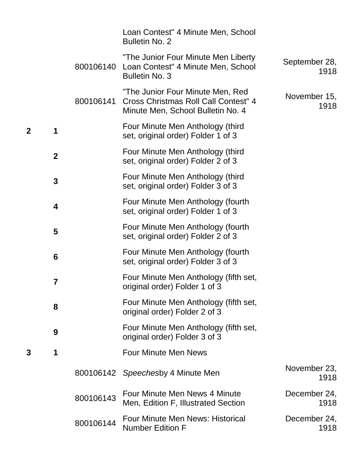|   |                  |           | Loan Contest" 4 Minute Men, School<br><b>Bulletin No. 2</b>                                                   |                       |
|---|------------------|-----------|---------------------------------------------------------------------------------------------------------------|-----------------------|
|   |                  | 800106140 | "The Junior Four Minute Men Liberty<br>Loan Contest" 4 Minute Men, School<br><b>Bulletin No. 3</b>            | September 28,<br>1918 |
|   |                  | 800106141 | "The Junior Four Minute Men, Red<br>Cross Christmas Roll Call Contest" 4<br>Minute Men, School Bulletin No. 4 | November 15,<br>1918  |
|   | 1                |           | Four Minute Men Anthology (third<br>set, original order) Folder 1 of 3                                        |                       |
|   | $\boldsymbol{2}$ |           | Four Minute Men Anthology (third<br>set, original order) Folder 2 of 3                                        |                       |
|   | 3                |           | Four Minute Men Anthology (third<br>set, original order) Folder 3 of 3                                        |                       |
|   | 4                |           | Four Minute Men Anthology (fourth<br>set, original order) Folder 1 of 3                                       |                       |
|   | 5                |           | Four Minute Men Anthology (fourth<br>set, original order) Folder 2 of 3                                       |                       |
|   | 6                |           | Four Minute Men Anthology (fourth<br>set, original order) Folder 3 of 3                                       |                       |
|   | 7                |           | Four Minute Men Anthology (fifth set,<br>original order) Folder 1 of 3                                        |                       |
|   | 8                |           | Four Minute Men Anthology (fifth set,<br>original order) Folder 2 of 3                                        |                       |
|   | 9                |           | Four Minute Men Anthology (fifth set,<br>original order) Folder 3 of 3                                        |                       |
| 3 | 1                |           | <b>Four Minute Men News</b>                                                                                   |                       |
|   |                  |           | 800106142 Speechesby 4 Minute Men                                                                             | November 23,<br>1918  |
|   |                  | 800106143 | Four Minute Men News 4 Minute<br>Men, Edition F, Illustrated Section                                          | December 24,<br>1918  |
|   |                  | 800106144 | Four Minute Men News: Historical<br><b>Number Edition F</b>                                                   | December 24,<br>1918  |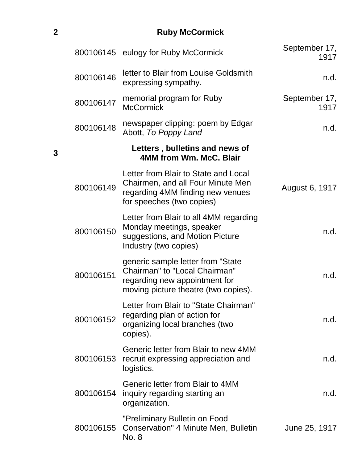**2 Ruby McCormick**

| September 17,<br>1917 | 800106145 eulogy for Ruby McCormick                                                                                                          |           |
|-----------------------|----------------------------------------------------------------------------------------------------------------------------------------------|-----------|
| n.d.                  | letter to Blair from Louise Goldsmith<br>expressing sympathy.                                                                                | 800106146 |
| September 17,<br>1917 | memorial program for Ruby<br><b>McCormick</b>                                                                                                | 800106147 |
| n.d.                  | newspaper clipping: poem by Edgar<br>Abott, To Poppy Land                                                                                    | 800106148 |
|                       | Letters, bulletins and news of<br>4MM from Wm. McC. Blair                                                                                    |           |
| August 6, 1917        | Letter from Blair to State and Local<br>Chairmen, and all Four Minute Men<br>regarding 4MM finding new venues<br>for speeches (two copies)   | 800106149 |
| n.d.                  | Letter from Blair to all 4MM regarding<br>Monday meetings, speaker<br>suggestions, and Motion Picture<br>Industry (two copies)               | 800106150 |
| n.d.                  | generic sample letter from "State"<br>Chairman" to "Local Chairman"<br>regarding new appointment for<br>moving picture theatre (two copies). | 800106151 |
| n.d.                  | Letter from Blair to "State Chairman"<br>regarding plan of action for<br>organizing local branches (two<br>copies).                          | 800106152 |
| n.d.                  | Generic letter from Blair to new 4MM<br>recruit expressing appreciation and<br>logistics.                                                    | 800106153 |
| n.d.                  | Generic letter from Blair to 4MM<br>inquiry regarding starting an<br>organization.                                                           | 800106154 |
| June 25, 1917         | "Preliminary Bulletin on Food<br>Conservation" 4 Minute Men, Bulletin<br>No. 8                                                               | 800106155 |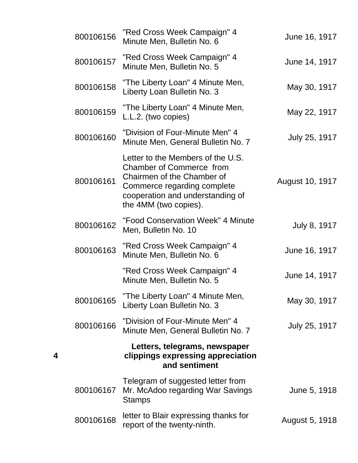| 800106156 | "Red Cross Week Campaign" 4<br>Minute Men, Bulletin No. 6                                                                                                                                      | June 16, 1917   |
|-----------|------------------------------------------------------------------------------------------------------------------------------------------------------------------------------------------------|-----------------|
| 800106157 | "Red Cross Week Campaign" 4<br>Minute Men, Bulletin No. 5                                                                                                                                      | June 14, 1917   |
| 800106158 | "The Liberty Loan" 4 Minute Men,<br>Liberty Loan Bulletin No. 3                                                                                                                                | May 30, 1917    |
| 800106159 | "The Liberty Loan" 4 Minute Men,<br>L.L.2. (two copies)                                                                                                                                        | May 22, 1917    |
| 800106160 | "Division of Four-Minute Men" 4<br>Minute Men, General Bulletin No. 7                                                                                                                          | July 25, 1917   |
| 800106161 | Letter to the Members of the U.S.<br><b>Chamber of Commerce from</b><br>Chairmen of the Chamber of<br>Commerce regarding complete<br>cooperation and understanding of<br>the 4MM (two copies). | August 10, 1917 |
| 800106162 | "Food Conservation Week" 4 Minute<br>Men, Bulletin No. 10                                                                                                                                      | July 8, 1917    |
| 800106163 | "Red Cross Week Campaign" 4<br>Minute Men, Bulletin No. 6                                                                                                                                      | June 16, 1917   |
|           | "Red Cross Week Campaign" 4<br>Minute Men, Bulletin No. 5                                                                                                                                      | June 14, 1917   |
| 800106165 | "The Liberty Loan" 4 Minute Men,<br>Liberty Loan Bulletin No. 3                                                                                                                                | May 30, 1917    |
| 800106166 | "Division of Four-Minute Men" 4<br>Minute Men, General Bulletin No. 7                                                                                                                          | July 25, 1917   |
|           | Letters, telegrams, newspaper<br>clippings expressing appreciation<br>and sentiment                                                                                                            |                 |
| 800106167 | Telegram of suggested letter from<br>Mr. McAdoo regarding War Savings<br><b>Stamps</b>                                                                                                         | June 5, 1918    |
| 800106168 | letter to Blair expressing thanks for<br>report of the twenty-ninth.                                                                                                                           | August 5, 1918  |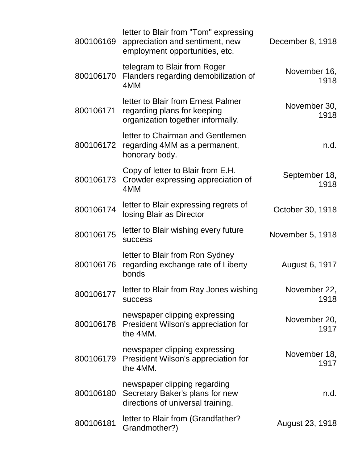| 800106169 | letter to Blair from "Tom" expressing<br>appreciation and sentiment, new<br>employment opportunities, etc. | December 8, 1918      |
|-----------|------------------------------------------------------------------------------------------------------------|-----------------------|
| 800106170 | telegram to Blair from Roger<br>Flanders regarding demobilization of<br>4MM                                | November 16,<br>1918  |
| 800106171 | letter to Blair from Ernest Palmer<br>regarding plans for keeping<br>organization together informally.     | November 30,<br>1918  |
| 800106172 | letter to Chairman and Gentlemen<br>regarding 4MM as a permanent,<br>honorary body.                        | n.d.                  |
| 800106173 | Copy of letter to Blair from E.H.<br>Crowder expressing appreciation of<br>4MM                             | September 18,<br>1918 |
| 800106174 | letter to Blair expressing regrets of<br>losing Blair as Director                                          | October 30, 1918      |
| 800106175 | letter to Blair wishing every future<br><b>SUCCESS</b>                                                     | November 5, 1918      |
| 800106176 | letter to Blair from Ron Sydney<br>regarding exchange rate of Liberty<br>bonds                             | August 6, 1917        |
| 800106177 | letter to Blair from Ray Jones wishing<br><b>SUCCESS</b>                                                   | November 22,<br>1918  |
| 800106178 | newspaper clipping expressing<br>President Wilson's appreciation for<br>the 4MM.                           | November 20,<br>1917  |
| 800106179 | newspaper clipping expressing<br>President Wilson's appreciation for<br>the 4MM.                           | November 18,<br>1917  |
| 800106180 | newspaper clipping regarding<br>Secretary Baker's plans for new<br>directions of universal training.       | n.d.                  |
| 800106181 | letter to Blair from (Grandfather?<br>Grandmother?)                                                        | August 23, 1918       |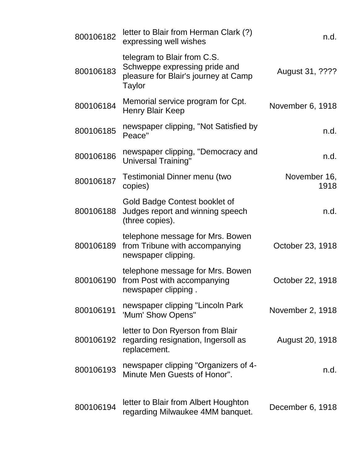| 800106182 | letter to Blair from Herman Clark (?)<br>expressing well wishes                                                | n.d.                 |
|-----------|----------------------------------------------------------------------------------------------------------------|----------------------|
| 800106183 | telegram to Blair from C.S.<br>Schweppe expressing pride and<br>pleasure for Blair's journey at Camp<br>Taylor | August 31, ????      |
| 800106184 | Memorial service program for Cpt.<br><b>Henry Blair Keep</b>                                                   | November 6, 1918     |
| 800106185 | newspaper clipping, "Not Satisfied by<br>Peace"                                                                | n.d.                 |
| 800106186 | newspaper clipping, "Democracy and<br>Universal Training"                                                      | n.d.                 |
| 800106187 | <b>Testimonial Dinner menu (two</b><br>copies)                                                                 | November 16,<br>1918 |
| 800106188 | Gold Badge Contest booklet of<br>Judges report and winning speech<br>(three copies).                           | n.d.                 |
| 800106189 | telephone message for Mrs. Bowen<br>from Tribune with accompanying<br>newspaper clipping.                      | October 23, 1918     |
| 800106190 | telephone message for Mrs. Bowen<br>from Post with accompanying<br>newspaper clipping.                         | October 22, 1918     |
| 800106191 | newspaper clipping "Lincoln Park<br>'Mum' Show Opens"                                                          | November 2, 1918     |
| 800106192 | letter to Don Ryerson from Blair<br>regarding resignation, Ingersoll as<br>replacement.                        | August 20, 1918      |
| 800106193 | newspaper clipping "Organizers of 4-<br>Minute Men Guests of Honor".                                           | n.d.                 |
| 800106194 | letter to Blair from Albert Houghton<br>regarding Milwaukee 4MM banquet.                                       | December 6, 1918     |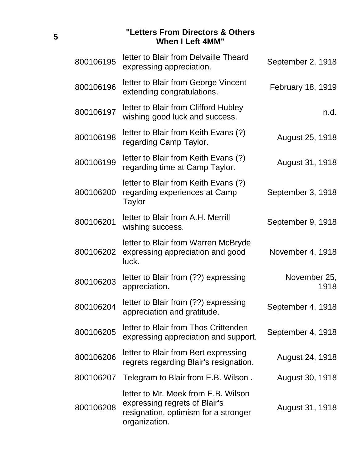#### **"Letters From Directors & Others When I Left 4MM"**

| 800106195 | letter to Blair from Delvaille Theard<br>expressing appreciation.                                                             | September 2, 1918    |
|-----------|-------------------------------------------------------------------------------------------------------------------------------|----------------------|
| 800106196 | letter to Blair from George Vincent<br>extending congratulations.                                                             | February 18, 1919    |
| 800106197 | letter to Blair from Clifford Hubley<br>wishing good luck and success.                                                        | n.d.                 |
| 800106198 | letter to Blair from Keith Evans (?)<br>regarding Camp Taylor.                                                                | August 25, 1918      |
| 800106199 | letter to Blair from Keith Evans (?)<br>regarding time at Camp Taylor.                                                        | August 31, 1918      |
| 800106200 | letter to Blair from Keith Evans (?)<br>regarding experiences at Camp<br>Taylor                                               | September 3, 1918    |
| 800106201 | letter to Blair from A.H. Merrill<br>wishing success.                                                                         | September 9, 1918    |
| 800106202 | letter to Blair from Warren McBryde<br>expressing appreciation and good<br>luck.                                              | November 4, 1918     |
| 800106203 | letter to Blair from (??) expressing<br>appreciation.                                                                         | November 25,<br>1918 |
| 800106204 | letter to Blair from (??) expressing<br>appreciation and gratitude.                                                           | September 4, 1918    |
| 800106205 | letter to Blair from Thos Crittenden<br>expressing appreciation and support.                                                  | September 4, 1918    |
| 800106206 | letter to Blair from Bert expressing<br>regrets regarding Blair's resignation.                                                | August 24, 1918      |
| 800106207 | Telegram to Blair from E.B. Wilson.                                                                                           | August 30, 1918      |
| 800106208 | letter to Mr. Meek from E.B. Wilson<br>expressing regrets of Blair's<br>resignation, optimism for a stronger<br>organization. | August 31, 1918      |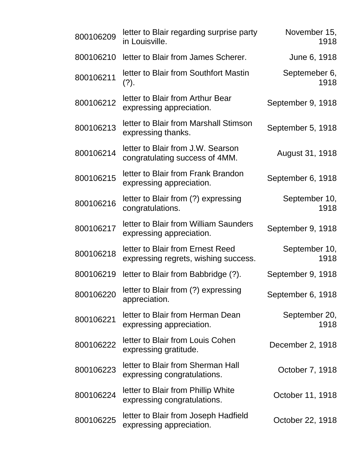| 800106209 | letter to Blair regarding surprise party<br>in Louisville.               | November 15,<br>1918  |
|-----------|--------------------------------------------------------------------------|-----------------------|
| 800106210 | letter to Blair from James Scherer.                                      | June 6, 1918          |
| 800106211 | letter to Blair from Southfort Mastin<br>$(?)$ .                         | Septemeber 6,<br>1918 |
| 800106212 | letter to Blair from Arthur Bear<br>expressing appreciation.             | September 9, 1918     |
| 800106213 | letter to Blair from Marshall Stimson<br>expressing thanks.              | September 5, 1918     |
| 800106214 | letter to Blair from J.W. Searson<br>congratulating success of 4MM.      | August 31, 1918       |
| 800106215 | letter to Blair from Frank Brandon<br>expressing appreciation.           | September 6, 1918     |
| 800106216 | letter to Blair from (?) expressing<br>congratulations.                  | September 10,<br>1918 |
| 800106217 | letter to Blair from William Saunders<br>expressing appreciation.        | September 9, 1918     |
| 800106218 | letter to Blair from Ernest Reed<br>expressing regrets, wishing success. | September 10,<br>1918 |
| 800106219 | letter to Blair from Babbridge (?).                                      | September 9, 1918     |
| 800106220 | letter to Blair from (?) expressing<br>appreciation.                     | September 6, 1918     |
| 800106221 | letter to Blair from Herman Dean<br>expressing appreciation.             | September 20,<br>1918 |
| 800106222 | letter to Blair from Louis Cohen<br>expressing gratitude.                | December 2, 1918      |
| 800106223 | letter to Blair from Sherman Hall<br>expressing congratulations.         | October 7, 1918       |
| 800106224 | letter to Blair from Phillip White<br>expressing congratulations.        | October 11, 1918      |
| 800106225 | letter to Blair from Joseph Hadfield<br>expressing appreciation.         | October 22, 1918      |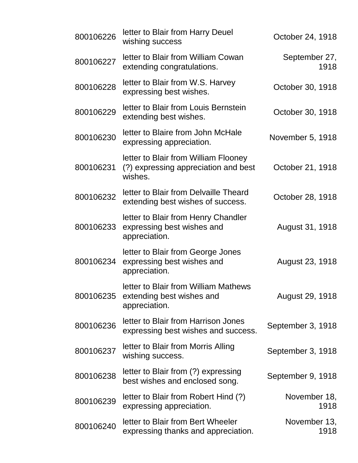| 800106226 | letter to Blair from Harry Deuel<br>wishing success                                     | October 24, 1918      |
|-----------|-----------------------------------------------------------------------------------------|-----------------------|
| 800106227 | letter to Blair from William Cowan<br>extending congratulations.                        | September 27,<br>1918 |
| 800106228 | letter to Blair from W.S. Harvey<br>expressing best wishes.                             | October 30, 1918      |
| 800106229 | letter to Blair from Louis Bernstein<br>extending best wishes.                          | October 30, 1918      |
| 800106230 | letter to Blaire from John McHale<br>expressing appreciation.                           | November 5, 1918      |
| 800106231 | letter to Blair from William Flooney<br>(?) expressing appreciation and best<br>wishes. | October 21, 1918      |
| 800106232 | letter to Blair from Delvaille Theard<br>extending best wishes of success.              | October 28, 1918      |
| 800106233 | letter to Blair from Henry Chandler<br>expressing best wishes and<br>appreciation.      | August 31, 1918       |
| 800106234 | letter to Blair from George Jones<br>expressing best wishes and<br>appreciation.        | August 23, 1918       |
| 800106235 | letter to Blair from William Mathews<br>extending best wishes and<br>appreciation.      | August 29, 1918       |
| 800106236 | letter to Blair from Harrison Jones<br>expressing best wishes and success.              | September 3, 1918     |
| 800106237 | letter to Blair from Morris Alling<br>wishing success.                                  | September 3, 1918     |
| 800106238 | letter to Blair from (?) expressing<br>best wishes and enclosed song.                   | September 9, 1918     |
| 800106239 | letter to Blair from Robert Hind (?)<br>expressing appreciation.                        | November 18,<br>1918  |
| 800106240 | letter to Blair from Bert Wheeler<br>expressing thanks and appreciation.                | November 13,<br>1918  |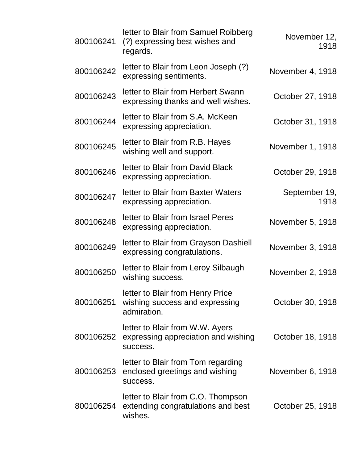| 800106241 | letter to Blair from Samuel Roibberg<br>(?) expressing best wishes and<br>regards.  | November 12,<br>1918  |
|-----------|-------------------------------------------------------------------------------------|-----------------------|
| 800106242 | letter to Blair from Leon Joseph (?)<br>expressing sentiments.                      | November 4, 1918      |
| 800106243 | letter to Blair from Herbert Swann<br>expressing thanks and well wishes.            | October 27, 1918      |
| 800106244 | letter to Blair from S.A. McKeen<br>expressing appreciation.                        | October 31, 1918      |
| 800106245 | letter to Blair from R.B. Hayes<br>wishing well and support.                        | November 1, 1918      |
| 800106246 | letter to Blair from David Black<br>expressing appreciation.                        | October 29, 1918      |
| 800106247 | letter to Blair from Baxter Waters<br>expressing appreciation.                      | September 19,<br>1918 |
| 800106248 | letter to Blair from Israel Peres<br>expressing appreciation.                       | November 5, 1918      |
| 800106249 | letter to Blair from Grayson Dashiell<br>expressing congratulations.                | November 3, 1918      |
| 800106250 | letter to Blair from Leroy Silbaugh<br>wishing success.                             | November 2, 1918      |
| 800106251 | letter to Blair from Henry Price<br>wishing success and expressing<br>admiration.   | October 30, 1918      |
| 800106252 | letter to Blair from W.W. Ayers<br>expressing appreciation and wishing<br>success.  | October 18, 1918      |
| 800106253 | letter to Blair from Tom regarding<br>enclosed greetings and wishing<br>success.    | November 6, 1918      |
| 800106254 | letter to Blair from C.O. Thompson<br>extending congratulations and best<br>wishes. | October 25, 1918      |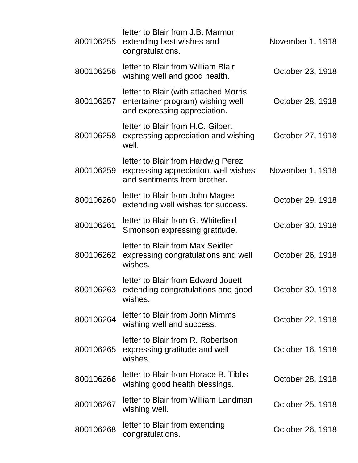| 800106255 | letter to Blair from J.B. Marmon<br>extending best wishes and<br>congratulations.                          | November 1, 1918 |
|-----------|------------------------------------------------------------------------------------------------------------|------------------|
| 800106256 | letter to Blair from William Blair<br>wishing well and good health.                                        | October 23, 1918 |
| 800106257 | letter to Blair (with attached Morris<br>entertainer program) wishing well<br>and expressing appreciation. | October 28, 1918 |
| 800106258 | letter to Blair from H.C. Gilbert<br>expressing appreciation and wishing<br>well.                          | October 27, 1918 |
| 800106259 | letter to Blair from Hardwig Perez<br>expressing appreciation, well wishes<br>and sentiments from brother. | November 1, 1918 |
| 800106260 | letter to Blair from John Magee<br>extending well wishes for success.                                      | October 29, 1918 |
| 800106261 | letter to Blair from G. Whitefield<br>Simonson expressing gratitude.                                       | October 30, 1918 |
| 800106262 | letter to Blair from Max Seidler<br>expressing congratulations and well<br>wishes.                         | October 26, 1918 |
| 800106263 | letter to Blair from Edward Jouett<br>extending congratulations and good<br>wishes.                        | October 30, 1918 |
| 800106264 | letter to Blair from John Mimms<br>wishing well and success.                                               | October 22, 1918 |
| 800106265 | letter to Blair from R. Robertson<br>expressing gratitude and well<br>wishes.                              | October 16, 1918 |
| 800106266 | letter to Blair from Horace B. Tibbs<br>wishing good health blessings.                                     | October 28, 1918 |
| 800106267 | letter to Blair from William Landman<br>wishing well.                                                      | October 25, 1918 |
| 800106268 | letter to Blair from extending<br>congratulations.                                                         | October 26, 1918 |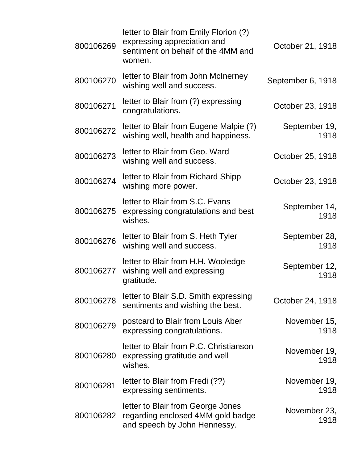| 800106269 | letter to Blair from Emily Florion (?)<br>expressing appreciation and<br>sentiment on behalf of the 4MM and<br>women. | October 21, 1918      |
|-----------|-----------------------------------------------------------------------------------------------------------------------|-----------------------|
| 800106270 | letter to Blair from John McInerney<br>wishing well and success.                                                      | September 6, 1918     |
| 800106271 | letter to Blair from (?) expressing<br>congratulations.                                                               | October 23, 1918      |
| 800106272 | letter to Blair from Eugene Malpie (?)<br>wishing well, health and happiness.                                         | September 19,<br>1918 |
| 800106273 | letter to Blair from Geo. Ward<br>wishing well and success.                                                           | October 25, 1918      |
| 800106274 | letter to Blair from Richard Shipp<br>wishing more power.                                                             | October 23, 1918      |
| 800106275 | letter to Blair from S.C. Evans<br>expressing congratulations and best<br>wishes.                                     | September 14,<br>1918 |
| 800106276 | letter to Blair from S. Heth Tyler<br>wishing well and success.                                                       | September 28,<br>1918 |
| 800106277 | letter to Blair from H.H. Wooledge<br>wishing well and expressing<br>gratitude.                                       | September 12,<br>1918 |
| 800106278 | letter to Blair S.D. Smith expressing<br>sentiments and wishing the best.                                             | October 24, 1918      |
| 800106279 | postcard to Blair from Louis Aber<br>expressing congratulations.                                                      | November 15,<br>1918  |
| 800106280 | letter to Blair from P.C. Christianson<br>expressing gratitude and well<br>wishes.                                    | November 19,<br>1918  |
| 800106281 | letter to Blair from Fredi (??)<br>expressing sentiments.                                                             | November 19,<br>1918  |
| 800106282 | letter to Blair from George Jones<br>regarding enclosed 4MM gold badge<br>and speech by John Hennessy.                | November 23,<br>1918  |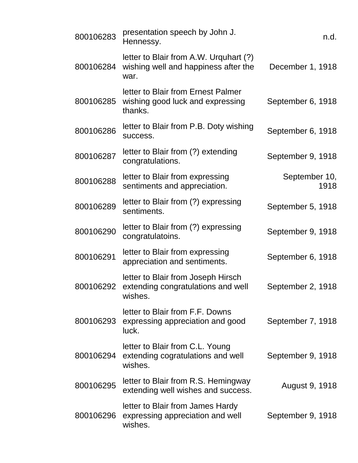| 800106283 | presentation speech by John J.<br>Hennessy.                                            | n.d.                  |
|-----------|----------------------------------------------------------------------------------------|-----------------------|
| 800106284 | letter to Blair from A.W. Urquhart (?)<br>wishing well and happiness after the<br>war. | December 1, 1918      |
| 800106285 | letter to Blair from Ernest Palmer<br>wishing good luck and expressing<br>thanks.      | September 6, 1918     |
| 800106286 | letter to Blair from P.B. Doty wishing<br>success.                                     | September 6, 1918     |
| 800106287 | letter to Blair from (?) extending<br>congratulations.                                 | September 9, 1918     |
| 800106288 | letter to Blair from expressing<br>sentiments and appreciation.                        | September 10,<br>1918 |
| 800106289 | letter to Blair from (?) expressing<br>sentiments.                                     | September 5, 1918     |
| 800106290 | letter to Blair from (?) expressing<br>congratulatoins.                                | September 9, 1918     |
| 800106291 | letter to Blair from expressing<br>appreciation and sentiments.                        | September 6, 1918     |
| 800106292 | letter to Blair from Joseph Hirsch<br>extending congratulations and well<br>wishes.    | September 2, 1918     |
| 800106293 | letter to Blair from F.F. Downs<br>expressing appreciation and good<br>luck.           | September 7, 1918     |
| 800106294 | letter to Blair from C.L. Young<br>extending cogratulations and well<br>wishes.        | September 9, 1918     |
| 800106295 | letter to Blair from R.S. Hemingway<br>extending well wishes and success.              | August 9, 1918        |
| 800106296 | letter to Blair from James Hardy<br>expressing appreciation and well<br>wishes.        | September 9, 1918     |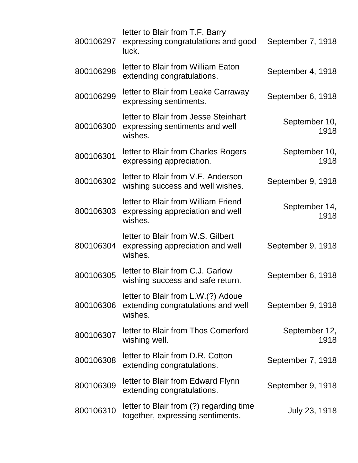| 800106297 | letter to Blair from T.F. Barry<br>expressing congratulations and good<br>luck.     | September 7, 1918     |
|-----------|-------------------------------------------------------------------------------------|-----------------------|
| 800106298 | letter to Blair from William Eaton<br>extending congratulations.                    | September 4, 1918     |
| 800106299 | letter to Blair from Leake Carraway<br>expressing sentiments.                       | September 6, 1918     |
| 800106300 | letter to Blair from Jesse Steinhart<br>expressing sentiments and well<br>wishes.   | September 10,<br>1918 |
| 800106301 | letter to Blair from Charles Rogers<br>expressing appreciation.                     | September 10,<br>1918 |
| 800106302 | letter to Blair from V.E. Anderson<br>wishing success and well wishes.              | September 9, 1918     |
| 800106303 | letter to Blair from William Friend<br>expressing appreciation and well<br>wishes.  | September 14,<br>1918 |
| 800106304 | letter to Blair from W.S. Gilbert<br>expressing appreciation and well<br>wishes.    | September 9, 1918     |
| 800106305 | letter to Blair from C.J. Garlow<br>wishing success and safe return.                | September 6, 1918     |
| 800106306 | letter to Blair from L.W.(?) Adoue<br>extending congratulations and well<br>wishes. | September 9, 1918     |
| 800106307 | letter to Blair from Thos Comerford<br>wishing well.                                | September 12,<br>1918 |
| 800106308 | letter to Blair from D.R. Cotton<br>extending congratulations.                      | September 7, 1918     |
| 800106309 | letter to Blair from Edward Flynn<br>extending congratulations.                     | September 9, 1918     |
| 800106310 | letter to Blair from (?) regarding time<br>together, expressing sentiments.         | July 23, 1918         |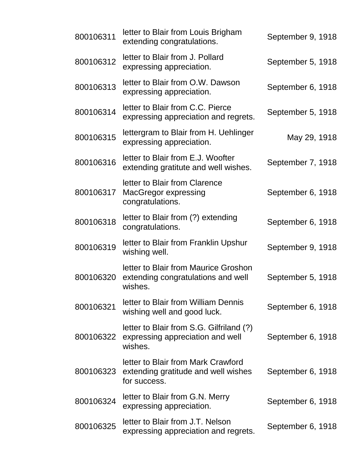| 800106311 | letter to Blair from Louis Brigham<br>extending congratulations.                          | September 9, 1918 |
|-----------|-------------------------------------------------------------------------------------------|-------------------|
| 800106312 | letter to Blair from J. Pollard<br>expressing appreciation.                               | September 5, 1918 |
| 800106313 | letter to Blair from O.W. Dawson<br>expressing appreciation.                              | September 6, 1918 |
| 800106314 | letter to Blair from C.C. Pierce<br>expressing appreciation and regrets.                  | September 5, 1918 |
| 800106315 | lettergram to Blair from H. Uehlinger<br>expressing appreciation.                         | May 29, 1918      |
| 800106316 | letter to Blair from E.J. Woofter<br>extending gratitute and well wishes.                 | September 7, 1918 |
| 800106317 | letter to Blair from Clarence<br>MacGregor expressing<br>congratulations.                 | September 6, 1918 |
| 800106318 | letter to Blair from (?) extending<br>congratulations.                                    | September 6, 1918 |
| 800106319 | letter to Blair from Franklin Upshur<br>wishing well.                                     | September 9, 1918 |
| 800106320 | letter to Blair from Maurice Groshon<br>extending congratulations and well<br>wishes.     | September 5, 1918 |
| 800106321 | letter to Blair from William Dennis<br>wishing well and good luck.                        | September 6, 1918 |
| 800106322 | letter to Blair from S.G. Gilfriland (?)<br>expressing appreciation and well<br>wishes.   | September 6, 1918 |
| 800106323 | letter to Blair from Mark Crawford<br>extending gratitude and well wishes<br>for success. | September 6, 1918 |
| 800106324 | letter to Blair from G.N. Merry<br>expressing appreciation.                               | September 6, 1918 |
| 800106325 | letter to Blair from J.T. Nelson<br>expressing appreciation and regrets.                  | September 6, 1918 |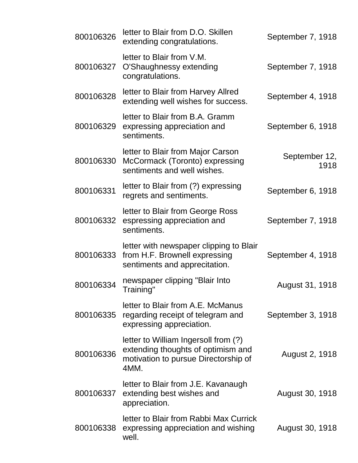| 800106326 | letter to Blair from D.O. Skillen<br>extending congratulations.                                                            | September 7, 1918     |
|-----------|----------------------------------------------------------------------------------------------------------------------------|-----------------------|
| 800106327 | letter to Blair from V.M.<br>O'Shaughnessy extending<br>congratulations.                                                   | September 7, 1918     |
| 800106328 | letter to Blair from Harvey Allred<br>extending well wishes for success.                                                   | September 4, 1918     |
| 800106329 | letter to Blair from B.A. Gramm<br>expressing appreciation and<br>sentiments.                                              | September 6, 1918     |
| 800106330 | letter to Blair from Major Carson<br>McCormack (Toronto) expressing<br>sentiments and well wishes.                         | September 12,<br>1918 |
| 800106331 | letter to Blair from (?) expressing<br>regrets and sentiments.                                                             | September 6, 1918     |
| 800106332 | letter to Blair from George Ross<br>espressing appreciation and<br>sentiments.                                             | September 7, 1918     |
| 800106333 | letter with newspaper clipping to Blair<br>from H.F. Brownell expressing<br>sentiments and apprecitation.                  | September 4, 1918     |
| 800106334 | newspaper clipping "Blair Into<br>Training"                                                                                | August 31, 1918       |
| 800106335 | letter to Blair from A.E. McManus<br>regarding receipt of telegram and<br>expressing appreciation.                         | September 3, 1918     |
| 800106336 | letter to William Ingersoll from (?)<br>extending thoughts of optimism and<br>motivation to pursue Directorship of<br>4MM. | August 2, 1918        |
| 800106337 | letter to Blair from J.E. Kavanaugh<br>extending best wishes and<br>appreciation.                                          | August 30, 1918       |
| 800106338 | letter to Blair from Rabbi Max Currick<br>expressing appreciation and wishing<br>well.                                     | August 30, 1918       |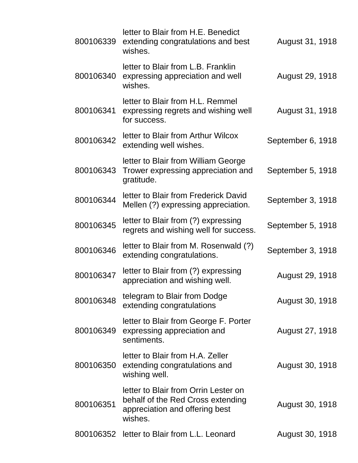| 800106339 | letter to Blair from H.E. Benedict<br>extending congratulations and best<br>wishes.                                    | August 31, 1918   |
|-----------|------------------------------------------------------------------------------------------------------------------------|-------------------|
| 800106340 | letter to Blair from L.B. Franklin<br>expressing appreciation and well<br>wishes.                                      | August 29, 1918   |
| 800106341 | letter to Blair from H.L. Remmel<br>expressing regrets and wishing well<br>for success.                                | August 31, 1918   |
| 800106342 | letter to Blair from Arthur Wilcox<br>extending well wishes.                                                           | September 6, 1918 |
| 800106343 | letter to Blair from William George<br>Trower expressing appreciation and<br>gratitude.                                | September 5, 1918 |
| 800106344 | letter to Blair from Frederick David<br>Mellen (?) expressing appreciation.                                            | September 3, 1918 |
| 800106345 | letter to Blair from (?) expressing<br>regrets and wishing well for success.                                           | September 5, 1918 |
| 800106346 | letter to Blair from M. Rosenwald (?)<br>extending congratulations.                                                    | September 3, 1918 |
| 800106347 | letter to Blair from (?) expressing<br>appreciation and wishing well.                                                  | August 29, 1918   |
| 800106348 | telegram to Blair from Dodge<br>extending congratulations                                                              | August 30, 1918   |
| 800106349 | letter to Blair from George F. Porter<br>expressing appreciation and<br>sentiments.                                    | August 27, 1918   |
| 800106350 | letter to Blair from H.A. Zeller<br>extending congratulations and<br>wishing well.                                     | August 30, 1918   |
| 800106351 | letter to Blair from Orrin Lester on<br>behalf of the Red Cross extending<br>appreciation and offering best<br>wishes. | August 30, 1918   |
|           | 800106352 letter to Blair from L.L. Leonard                                                                            | August 30, 1918   |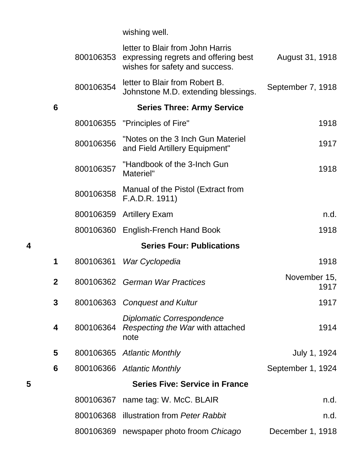wishing well.

|   |                | 800106353 | letter to Blair from John Harris<br>expressing regrets and offering best<br>wishes for safety and success. | August 31, 1918      |
|---|----------------|-----------|------------------------------------------------------------------------------------------------------------|----------------------|
|   |                | 800106354 | letter to Blair from Robert B.<br>Johnstone M.D. extending blessings.                                      | September 7, 1918    |
|   | 6              |           | <b>Series Three: Army Service</b>                                                                          |                      |
|   |                | 800106355 | "Principles of Fire"                                                                                       | 1918                 |
|   |                | 800106356 | "Notes on the 3 Inch Gun Materiel<br>and Field Artillery Equipment"                                        | 1917                 |
|   |                | 800106357 | "Handbook of the 3-Inch Gun<br>Materiel"                                                                   | 1918                 |
|   |                | 800106358 | Manual of the Pistol (Extract from<br>F.A.D.R. 1911)                                                       |                      |
|   |                | 800106359 | <b>Artillery Exam</b>                                                                                      | n.d.                 |
|   |                |           | 800106360 English-French Hand Book                                                                         | 1918                 |
| 4 |                |           | <b>Series Four: Publications</b>                                                                           |                      |
|   | 1              | 800106361 | War Cyclopedia                                                                                             | 1918                 |
|   | $\overline{2}$ |           | 800106362 German War Practices                                                                             | November 15,<br>1917 |
|   | 3              |           | 800106363 Conquest and Kultur                                                                              | 1917                 |
|   | 4              | 800106364 | Diplomatic Correspondence<br>Respecting the War with attached<br>note                                      | 1914                 |
|   | 5              |           | 800106365 Atlantic Monthly                                                                                 | July 1, 1924         |
|   | 6              |           | 800106366 Atlantic Monthly                                                                                 | September 1, 1924    |
| 5 |                |           | <b>Series Five: Service in France</b>                                                                      |                      |
|   |                | 800106367 | name tag: W. McC. BLAIR                                                                                    | n.d.                 |
|   |                | 800106368 | illustration from Peter Rabbit                                                                             | n.d.                 |
|   |                |           | 800106369 newspaper photo froom Chicago                                                                    | December 1, 1918     |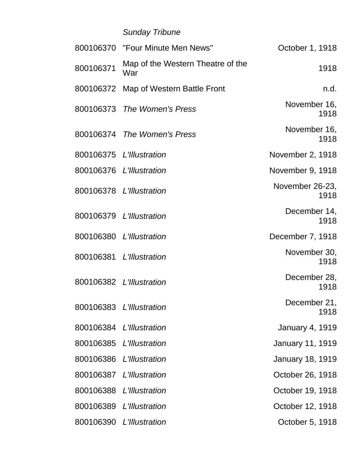# *Sunday Tribune*

|           | 800106370 "Four Minute Men News"         | October 1, 1918         |
|-----------|------------------------------------------|-------------------------|
| 800106371 | Map of the Western Theatre of the<br>War | 1918                    |
|           | 800106372 Map of Western Battle Front    | n.d.                    |
|           | 800106373 The Women's Press              | November 16,<br>1918    |
|           | 800106374 The Women's Press              | November 16,<br>1918    |
|           | 800106375 L'Illustration                 | November 2, 1918        |
|           | 800106376 L'Illustration                 | November 9, 1918        |
|           | 800106378 L'Illustration                 | November 26-23,<br>1918 |
|           | 800106379 L'Illustration                 | December 14,<br>1918    |
|           | 800106380 L'Illustration                 | December 7, 1918        |
|           | 800106381 L'Illustration                 | November 30,<br>1918    |
|           | 800106382 L'Illustration                 | December 28,<br>1918    |
|           | 800106383 L'Illustration                 | December 21,<br>1918    |
|           | 800106384 L'Illustration                 | <b>January 4, 1919</b>  |
| 800106385 | L'Illustration                           | <b>January 11, 1919</b> |
|           | 800106386 L'Illustration                 | <b>January 18, 1919</b> |
|           | 800106387 L'Illustration                 | October 26, 1918        |
|           | 800106388 L'Illustration                 | October 19, 1918        |
| 800106389 | L'Illustration                           | October 12, 1918        |
|           | 800106390 L'Illustration                 | October 5, 1918         |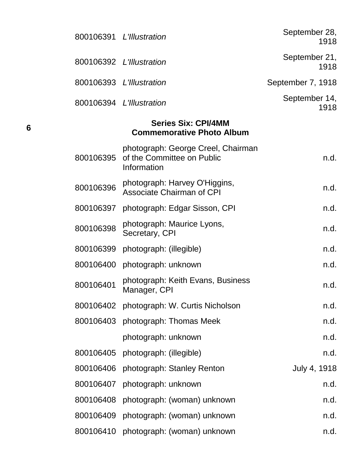|  | 800106391 L'Illustration           | September 28,<br>1918 |
|--|------------------------------------|-----------------------|
|  | 800106392 L'Illustration           | September 21,<br>1918 |
|  | 800106393 L'Illustration           | September 7, 1918     |
|  | 800106394 L'Illustration           | September 14,<br>1918 |
|  |                                    |                       |
|  | photograph: Coorge Crool, Choirman |                       |

| 800106395 | pnotograpn: George Creel, Chairman<br>of the Committee on Public<br>Information | n.d.         |
|-----------|---------------------------------------------------------------------------------|--------------|
| 800106396 | photograph: Harvey O'Higgins,<br><b>Associate Chairman of CPI</b>               | n.d.         |
| 800106397 | photograph: Edgar Sisson, CPI                                                   | n.d.         |
| 800106398 | photograph: Maurice Lyons,<br>Secretary, CPI                                    | n.d.         |
| 800106399 | photograph: (illegible)                                                         | n.d.         |
| 800106400 | photograph: unknown                                                             | n.d.         |
| 800106401 | photograph: Keith Evans, Business<br>Manager, CPI                               | n.d.         |
| 800106402 | photograph: W. Curtis Nicholson                                                 | n.d.         |
| 800106403 | photograph: Thomas Meek                                                         | n.d.         |
|           | photograph: unknown                                                             | n.d.         |
| 800106405 | photograph: (illegible)                                                         | n.d.         |
| 800106406 | photograph: Stanley Renton                                                      | July 4, 1918 |
| 800106407 | photograph: unknown                                                             | n.d.         |
| 800106408 | photograph: (woman) unknown                                                     | n.d.         |
| 800106409 | photograph: (woman) unknown                                                     | n.d.         |
| 800106410 | photograph: (woman) unknown                                                     | n.d.         |